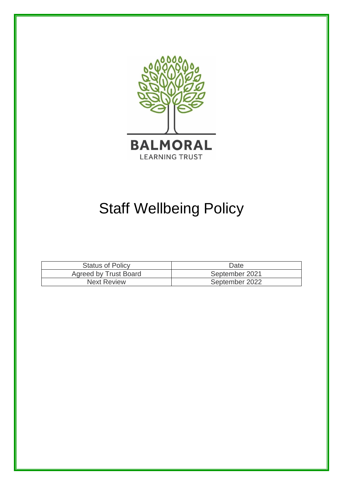

# Staff Wellbeing Policy

| <b>Status of Policy</b>      | Date           |
|------------------------------|----------------|
| <b>Agreed by Trust Board</b> | September 2021 |
| <b>Next Review</b>           | September 2022 |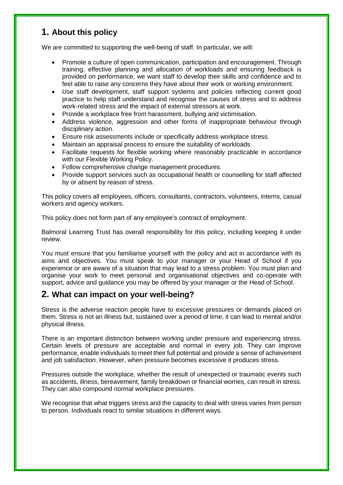#### **1. About this policy**

We are committed to supporting the well-being of staff. In particular, we will:

- Promote a culture of open communication, participation and encouragement. Through training, effective planning and allocation of workloads and ensuring feedback is provided on performance, we want staff to develop their skills and confidence and to feel able to raise any concerns they have about their work or working environment.
- Use staff development, staff support systems and policies reflecting current good practice to help staff understand and recognise the causes of stress and to address work-related stress and the impact of external stressors at work.
- Provide a workplace free from harassment, bullying and victimisation.
- Address violence, aggression and other forms of inappropriate behaviour through disciplinary action.
- Ensure risk assessments include or specifically address workplace stress.
- Maintain an appraisal process to ensure the suitability of workloads.
- Facilitate requests for flexible working where reasonably practicable in accordance with our Flexible Working Policy.
- Follow comprehensive change management procedures.
- Provide support services such as occupational health or counselling for staff affected by or absent by reason of stress.

This policy covers all employees, officers, consultants, contractors, volunteers, interns, casual workers and agency workers.

This policy does not form part of any employee's contract of employment.

Balmoral Learning Trust has overall responsibility for this policy, including keeping it under review.

You must ensure that you familiarise yourself with the policy and act in accordance with its aims and objectives. You must speak to your manager or your Head of School if you experience or are aware of a situation that may lead to a stress problem. You must plan and organise your work to meet personal and organisational objectives and co-operate with support, advice and guidance you may be offered by your manager or the Head of School.

#### **2. What can impact on your well-being?**

Stress is the adverse reaction people have to excessive pressures or demands placed on them. Stress is not an illness but, sustained over a period of time, it can lead to mental and/or physical illness.

There is an important distinction between working under pressure and experiencing stress. Certain levels of pressure are acceptable and normal in every job. They can improve performance, enable individuals to meet their full potential and provide a sense of achievement and job satisfaction. However, when pressure becomes excessive it produces stress.

Pressures outside the workplace, whether the result of unexpected or traumatic events such as accidents, illness, bereavement, family breakdown or financial worries, can result in stress. They can also compound normal workplace pressures.

We recognise that what triggers stress and the capacity to deal with stress varies from person to person. Individuals react to similar situations in different ways.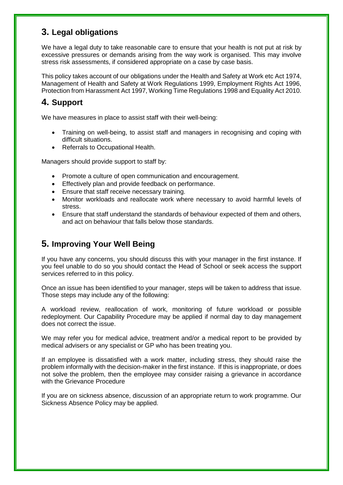#### **3. Legal obligations**

We have a legal duty to take reasonable care to ensure that your health is not put at risk by excessive pressures or demands arising from the way work is organised. This may involve stress risk assessments, if considered appropriate on a case by case basis.

This policy takes account of our obligations under the Health and Safety at Work etc Act 1974, Management of Health and Safety at Work Regulations 1999, Employment Rights Act 1996, Protection from Harassment Act 1997, Working Time Regulations 1998 and Equality Act 2010.

### **4. Support**

We have measures in place to assist staff with their well-being:

- Training on well-being, to assist staff and managers in recognising and coping with difficult situations.
- Referrals to Occupational Health.

Managers should provide support to staff by:

- Promote a culture of open communication and encouragement.
- **Effectively plan and provide feedback on performance.**
- Ensure that staff receive necessary training.
- Monitor workloads and reallocate work where necessary to avoid harmful levels of stress.
- Ensure that staff understand the standards of behaviour expected of them and others, and act on behaviour that falls below those standards.

#### **5. Improving Your Well Being**

If you have any concerns, you should discuss this with your manager in the first instance. If you feel unable to do so you should contact the Head of School or seek access the support services referred to in this policy.

Once an issue has been identified to your manager, steps will be taken to address that issue. Those steps may include any of the following:

A workload review, reallocation of work, monitoring of future workload or possible redeployment. Our Capability Procedure may be applied if normal day to day management does not correct the issue.

We may refer you for medical advice, treatment and/or a medical report to be provided by medical advisers or any specialist or GP who has been treating you.

If an employee is dissatisfied with a work matter, including stress, they should raise the problem informally with the decision-maker in the first instance. If this is inappropriate, or does not solve the problem, then the employee may consider raising a grievance in accordance with the Grievance Procedure

If you are on sickness absence, discussion of an appropriate return to work programme. Our Sickness Absence Policy may be applied.